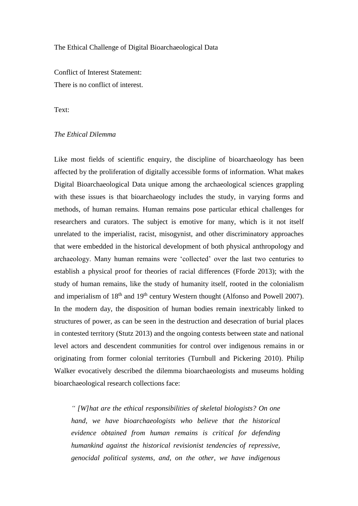## The Ethical Challenge of Digital Bioarchaeological Data

Conflict of Interest Statement: There is no conflict of interest.

Text:

## *The Ethical Dilemma*

Like most fields of scientific enquiry, the discipline of bioarchaeology has been affected by the proliferation of digitally accessible forms of information. What makes Digital Bioarchaeological Data unique among the archaeological sciences grappling with these issues is that bioarchaeology includes the study, in varying forms and methods, of human remains. Human remains pose particular ethical challenges for researchers and curators. The subject is emotive for many, which is it not itself unrelated to the imperialist, racist, misogynist, and other discriminatory approaches that were embedded in the historical development of both physical anthropology and archaeology. Many human remains were 'collected' over the last two centuries to establish a physical proof for theories of racial differences (Fforde 2013); with the study of human remains, like the study of humanity itself, rooted in the colonialism and imperialism of  $18<sup>th</sup>$  and  $19<sup>th</sup>$  century Western thought (Alfonso and Powell 2007). In the modern day, the disposition of human bodies remain inextricably linked to structures of power, as can be seen in the destruction and desecration of burial places in contested territory (Stutz 2013) and the ongoing contests between state and national level actors and descendent communities for control over indigenous remains in or originating from former colonial territories (Turnbull and Pickering 2010). Philip Walker evocatively described the dilemma bioarchaeologists and museums holding bioarchaeological research collections face:

*" [W]hat are the ethical responsibilities of skeletal biologists? On one hand, we have bioarchaeologists who believe that the historical evidence obtained from human remains is critical for defending humankind against the historical revisionist tendencies of repressive, genocidal political systems, and, on the other, we have indigenous*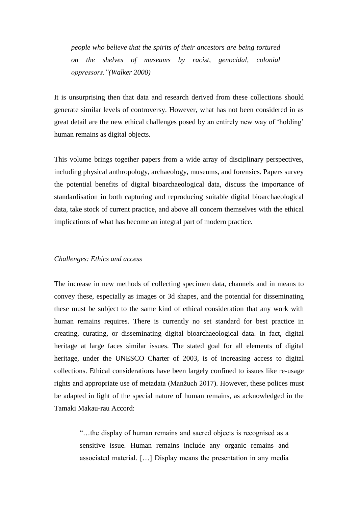*people who believe that the spirits of their ancestors are being tortured on the shelves of museums by racist, genocidal, colonial oppressors."(Walker 2000)*

It is unsurprising then that data and research derived from these collections should generate similar levels of controversy. However, what has not been considered in as great detail are the new ethical challenges posed by an entirely new way of 'holding' human remains as digital objects.

This volume brings together papers from a wide array of disciplinary perspectives, including physical anthropology, archaeology, museums, and forensics. Papers survey the potential benefits of digital bioarchaeological data, discuss the importance of standardisation in both capturing and reproducing suitable digital bioarchaeological data, take stock of current practice, and above all concern themselves with the ethical implications of what has become an integral part of modern practice.

## *Challenges: Ethics and access*

The increase in new methods of collecting specimen data, channels and in means to convey these, especially as images or 3d shapes, and the potential for disseminating these must be subject to the same kind of ethical consideration that any work with human remains requires. There is currently no set standard for best practice in creating, curating, or disseminating digital bioarchaeological data. In fact, digital heritage at large faces similar issues. The stated goal for all elements of digital heritage, under the UNESCO Charter of 2003, is of increasing access to digital collections. Ethical considerations have been largely confined to issues like re-usage rights and appropriate use of metadata (Manžuch 2017). However, these polices must be adapted in light of the special nature of human remains, as acknowledged in the Tamaki Makau-rau Accord:

> "…the display of human remains and sacred objects is recognised as a sensitive issue. Human remains include any organic remains and associated material. […] Display means the presentation in any media